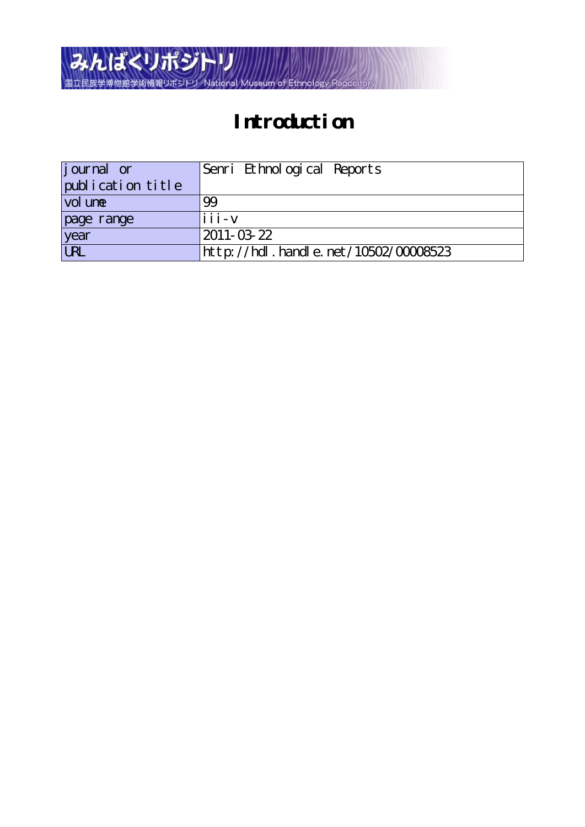

## **Introduction**

| <i>j</i> ournal or | Senri Ethnological Reports           |
|--------------------|--------------------------------------|
| publication title  |                                      |
| vol une            | 99                                   |
| page range         | $iii - v$                            |
| year               | $2011 - 03 - 22$                     |
| URL                | http://hdl.handle.net/10502/00008523 |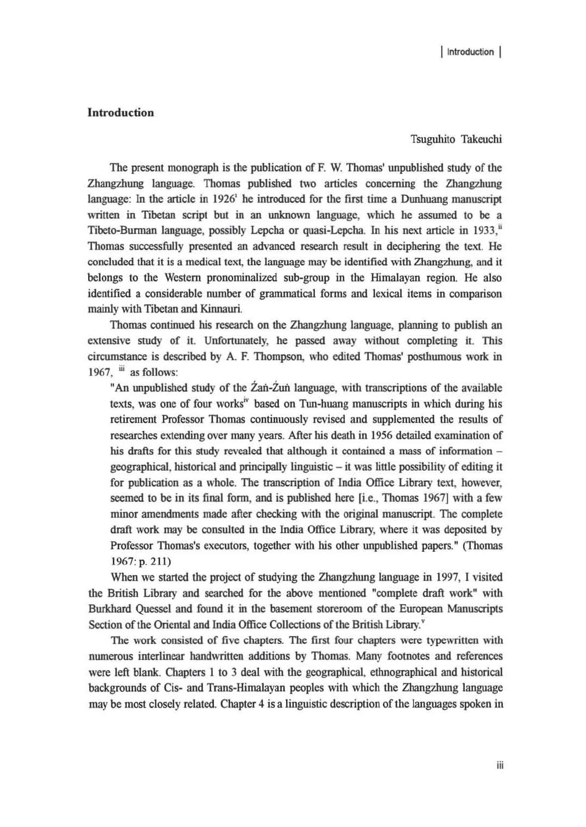## Introduction

Tsuguhito Takeuchi

The present monograph is the publication of F. W. Thomas' unpublished study of the Zhangzhung language. Thomas published two articles concerning the Zhangzhung language: In the article in 1926' he introduced for the first lime a Dunhuang manuscript written in Tibetan script but in an unknown language, which he asswned to be a Tibeto-Burman language, possibly Lepcha or quasi-Lepcha. In his next article in 1933," Thomas successfully presented an advanced research result in deciphering the text. He concluded that it is a medical text, the language may be identified with Zhangzhung, and it belongs to the Western pronominalized sub-group in the Himalayan region. He also identified a considerable number of grammatical forms and lexical items in comparison mainly with Tibetan and Kinnauri.

Thomas continued his research on the Zhangzhung language, planning to publish an extensive study of it. Unfortunately, he passed away without completing it. This circumstance is described by A. F. Thompson, who edited Thomas' posthumous work in 1967. iii as follows:

"An unpublished study of the  $\angle 2$ an- $\angle 2$ un language, with transcriptions of the available texts, was one of four works<sup>iv</sup> based on Tun-huang manuscripts in which during his retirement Professor Thomas continuously revised and supplemented the results of researches extending over many years. After his death in 1956 detailed examination of his drafts for this study revealed that although it contained a mass of information  $geographical$ , historical and principally linguistic  $-$  it was little possibility of editing it for publication as a whole. The transcription of India Office Library text. however, seemed to be in its final form, and is published here {i.e., Thomas 1967} with a few minor amendments made after checking with the original manuscript. The complete draft work may be consulted in the India Office Library, where it was deposited by Professor Thomas's executors, together with his other unpublished papers." (Thomas 1967: p. 211)

When we started the project of studying the Zhangzhung language in 1997, I visited the British Library and searched for the above mentioned "complete draft work" with Burkhard Qucssel and found it in the basement storeroom of the European Manuscripts Section of the Oriental and India Office Collections of the British Library."

The work consisted of five chapters. The first four chapters were typewritten with numerous interlinear handwritten additions by Thomas. Many footnotes and references were left blank. Chapters I to 3 deal with the geographical, ethnographical and historical backgrounds of Cis- and Trans-Himalayan peoples with which the Zhangzhung language may be most closely related. Chapter 4 is a linguistic description of the languages spoken in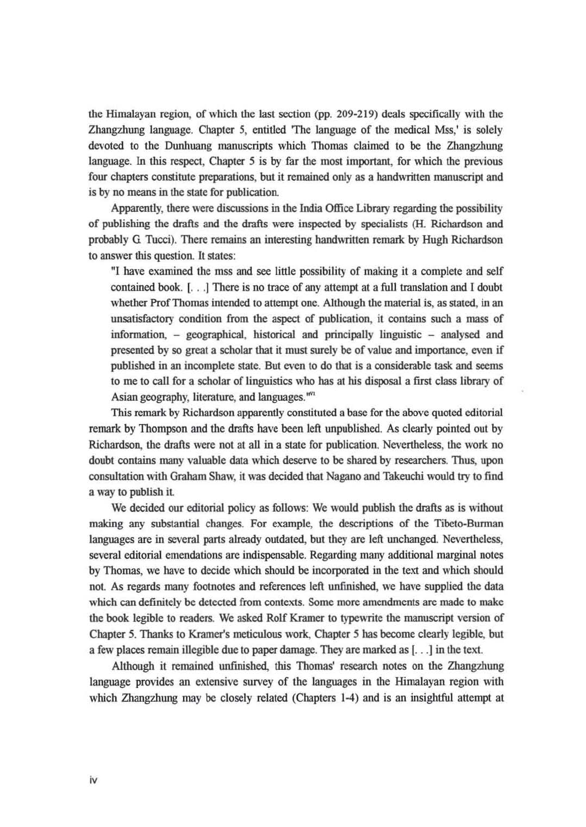the Himalayan region, of which the last section (pp. 209-219) deals specifically with the Zhangzhung language. Chapter 5, entitled 'The language of the medical Mss,' is solely devoted to the Ounhuang manuscripts which Thomas claimed to be the Zhangzhung language. In this respect, Chapter 5 is by far the most important, for which the previous four chapters constitute preparations, but it remained only as a handwritten manuscript and is by no means in the state for publication.

Apparently, there were discussions in the India Office Library regarding the possibility of publishing the drafts and the drafts were inspected by specialists (H. Richardson and probably G Tucci). There remains an interesting handwritten remark by Hugh Richardson to answer this question. It states:

"I have examined the mss and see little possibility of making it a complete and self contained book. I. . . ] There is no trace of any attempt at a full translation and I doubt whether Prof Thomas intended to attempt one. Although the material is, as stated, in an unsatisfactory condition from the aspect of publication, it contains such a mass of information, - geographical, historical and principally linguistic - analysed and presented by so great a scholar that it must surely be of value and importance, even if published in an incomplete state. But even to do that is a considerable task and seems to me to call for a scholar of linguistics who has at his disposal a first class library of Asian geography, literature, and languages. "'"

This remark by Richardson apparently constituted a base for the above quoted editorial remark by Thompson and the drafts have been left unpublished. As clearly pointed out by Richardson, the drafts were not at al1 in a state for publication. Nevertheless, the work no doubt contains many valuable data which deserve to be shared by researchers. Thus, upon consultation with Graham Shaw. it was decided that Nagano and Takeuchi wouJd try to find a way to publish it.

We decided our editorial policy as follows: We would publish the drafts as is without making any substantial changes. For example, the descriptions of the Tibeto-Burman languages are in several parts already outdated, but they are left unchanged. Nevertheless, scveral editorial emendations are indispensable. Regarding many additional marginal notes by Thomas. we have to decide which shouJd be incorporated in the text and which shouJd not. As regards many footnotes and references left unfinished, we have supplied the data which can definitely be detected from contexts. Some more amendments are made to make the book legible to readers. We asked Rolf Kramer to typewrite the manuscript version of Chapter 5. Thanks to Kramer's meticulous work. Chapter 5 has become clearly legible, but a few places remain illegible due to paper damage. They are marked as [...] in the text.

Although it remained unfinished, this Thomas' research notes on the Zhangzhung language providcs an extensive survey of the languages in the Himalayan region with which Zhangzhung may be closely related (Chapters  $1-4$ ) and is an insightful attempt at